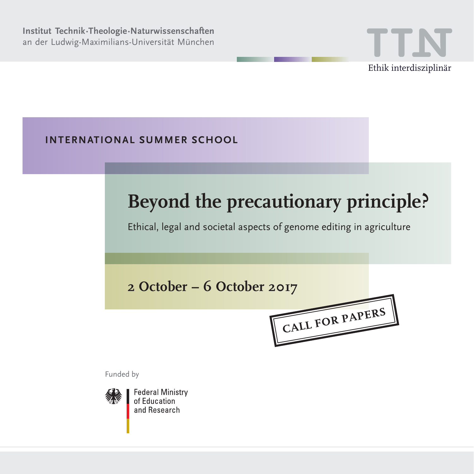

**International Summer School** 

# **Beyond the precautionary principle?**

Ethical, legal and societal aspects of genome editing in agriculture

# **2 October – 6 October 2017**

**Call For Papers**

Funded by



**Federal Ministry** of Education and Research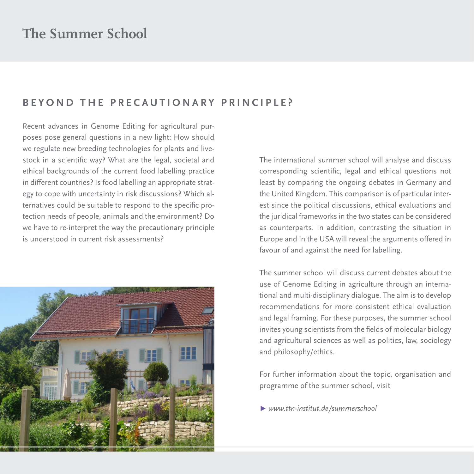### **B E Y O ND T HE P RECAU T I O N AR Y P R I N C I P LE ?**

Recent advances in Genome Editing for agricultural purposes pose general questions in a new light: How should we regulate new breeding technologies for plants and livestock in a scientific way? What are the legal, societal and ethical backgrounds of the current food labelling practice in different countries? Is food labelling an appropriate strategy to cope with uncertainty in risk discussions? Which alternatives could be suitable to respond to the specific protection needs of people, animals and the environment? Do we have to re-interpret the way the precautionary principle is understood in current risk assessments?



The international summer school will analyse and discuss corresponding scientific, legal and ethical questions not least by comparing the ongoing debates in Germany and the United Kingdom. This comparison is of particular interest since the political discussions, ethical evaluations and the juridical frameworks in the two states can be considered as counterparts. In addition, contrasting the situation in Europe and in the USA will reveal the arguments offered in favour of and against the need for labelling.

The summer school will discuss current debates about the use of Genome Editing in agriculture through an international and multi-disciplinary dialogue. The aim is to develop recommendations for more consistent ethical evaluation and legal framing. For these purposes, the summer school invites young scientists from the fields of molecular biology and agricultural sciences as well as politics, law, sociology and philosophy/ethics.

For further information about the topic, organisation and programme of the summer school, visit

**Ω** *www.ttn-institut.de/summerschool*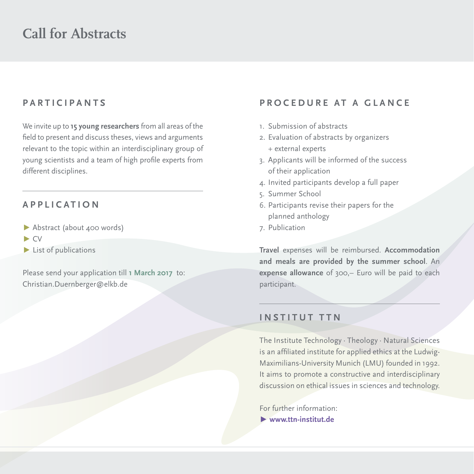## **Par ti c ip a nts**

We invite up to **15 young researchers** from all areas of the field to present and discuss theses, views and arguments relevant to the topic within an interdisciplinary group of young scientists and a team of high profile experts from different disciplines.

### **App l i c ati o n**

- **Ω** Abstract (about 400 words)
- **Ω** CV
- **Ω** List of publications

Please send your application till **1 March 2017** to: Christian.Duernberger@elkb.de

### **PROCEDURE AT A GLANCE**

- 1. Submission of abstracts
- 2. Evaluation of abstracts by organizers + external experts
- 3. Applicants will be informed of the success of their application
- 4. Invited participants develop a full paper
- 5. Summer School
- 6. Participants revise their papers for the planned anthology
- 7. Publication

**Travel** expenses will be reimbursed. **Accommodation and meals are provided by the summer school**. An **expense allowance** of 300,– Euro will be paid to each participant.

### **I nstit u t TTN**

The Institute Technology · Theology · Natural Sciences is an affiliated institute for applied ethics at the Ludwig-Maximilians-University Munich (LMU) founded in 1992. It aims to promote a constructive and interdisciplinary discussion on ethical issues in sciences and technology.

For further information: **Ω www.ttn-institut.de**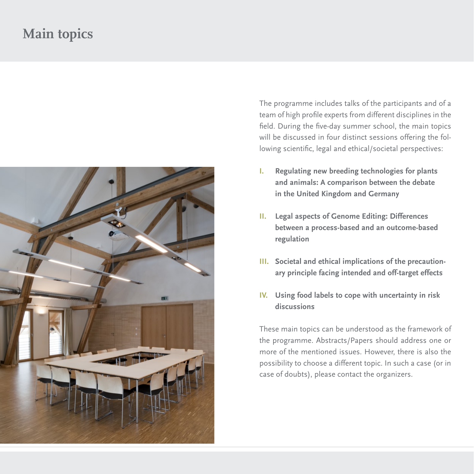# **Main topics**



The programme includes talks of the participants and of a team of high profile experts from different disciplines in the field. During the five-day summer school, the main topics will be discussed in four distinct sessions offering the following scientific, legal and ethical/societal perspectives:

- **I. Regulating new breeding technologies for plants and animals: A comparison between the debate in the United Kingdom and Germany**
- **II. Legal aspects of Genome Editing: Differences between a process-based and an outcome-based regulation**
- **III. Societal and ethical implications of the precautionary principle facing intended and off-target effects**
- **IV. Using food labels to cope with uncertainty in risk discussions**

These main topics can be understood as the framework of the programme. Abstracts/Papers should address one or more of the mentioned issues. However, there is also the possibility to choose a different topic. In such a case (or in case of doubts), please contact the organizers.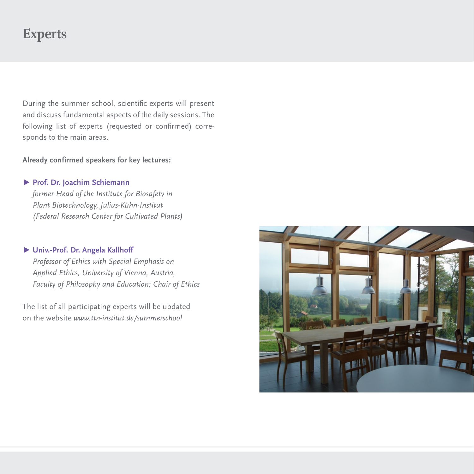# **Experts**

During the summer school, scientific experts will present and discuss fundamental aspects of the daily sessions. The following list of experts (requested or confirmed) corresponds to the main areas.

### **Already confirmed speakers for key lectures:**

**Ω Prof. Dr. Joachim Schiemann** *former Head of the Institute for Biosafety in Plant Biotechnology, Julius-Kühn-Institut (Federal Research Center for Cultivated Plants)* 

#### **Ω Univ.-Prof. Dr. Angela Kallhoff**

*Professor of Ethics with Special Emphasis on Applied Ethics, University of Vienna, Austria, Faculty of Philosophy and Education; Chair of Ethics*

The list of all participating experts will be updated on the website *www.ttn-institut.de/summerschool*